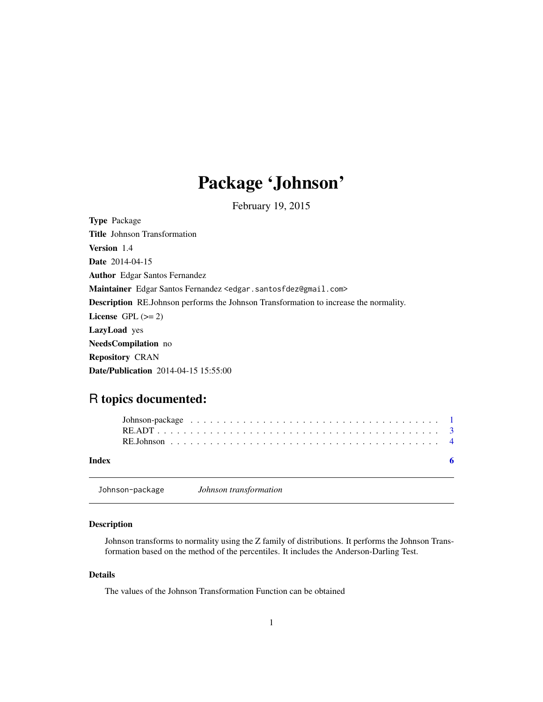## Package 'Johnson'

February 19, 2015

<span id="page-0-0"></span>Type Package Title Johnson Transformation Version 1.4 Date 2014-04-15 Author Edgar Santos Fernandez Maintainer Edgar Santos Fernandez <edgar.santosfdez@gmail.com> Description RE.Johnson performs the Johnson Transformation to increase the normality. License GPL  $(>= 2)$ LazyLoad yes NeedsCompilation no Repository CRAN Date/Publication 2014-04-15 15:55:00

### R topics documented:

| Index |  |
|-------|--|

Johnson-package *Johnson transformation*

#### Description

Johnson transforms to normality using the Z family of distributions. It performs the Johnson Transformation based on the method of the percentiles. It includes the Anderson-Darling Test.

#### Details

The values of the Johnson Transformation Function can be obtained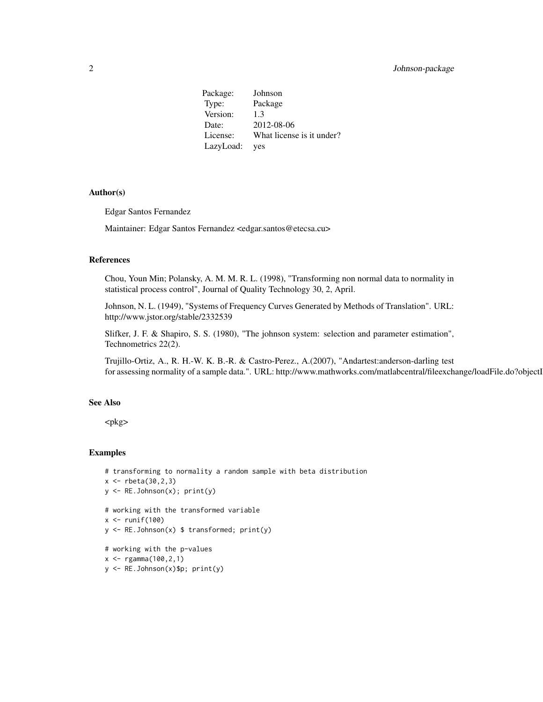Package: Johnson Type: Package Version: 1.3 Date: 2012-08-06 License: What license is it under? LazyLoad: yes

#### Author(s)

Edgar Santos Fernandez

Maintainer: Edgar Santos Fernandez <edgar.santos@etecsa.cu>

#### References

Chou, Youn Min; Polansky, A. M. M. R. L. (1998), "Transforming non normal data to normality in statistical process control", Journal of Quality Technology 30, 2, April.

Johnson, N. L. (1949), "Systems of Frequency Curves Generated by Methods of Translation". URL: http://www.jstor.org/stable/2332539

Slifker, J. F. & Shapiro, S. S. (1980), "The johnson system: selection and parameter estimation", Technometrics 22(2).

Trujillo-Ortiz, A., R. H.-W. K. B.-R. & Castro-Perez., A.(2007), "Andartest:anderson-darling test for assessing normality of a sample data.". URL: http://www.mathworks.com/matlabcentral/fileexchange/loadFile.do?objectl

#### See Also

<pkg>

#### Examples

```
# transforming to normality a random sample with beta distribution
x < - rbeta(30,2,3)
y \leftarrow RE.Johnson(x); print(y)# working with the transformed variable
x \leftarrow runif(100)y <- RE.Johnson(x) $ transformed; print(y)
# working with the p-values
x \leq - \text{rgamma}(100, 2, 1)y <- RE.Johnson(x)$p; print(y)
```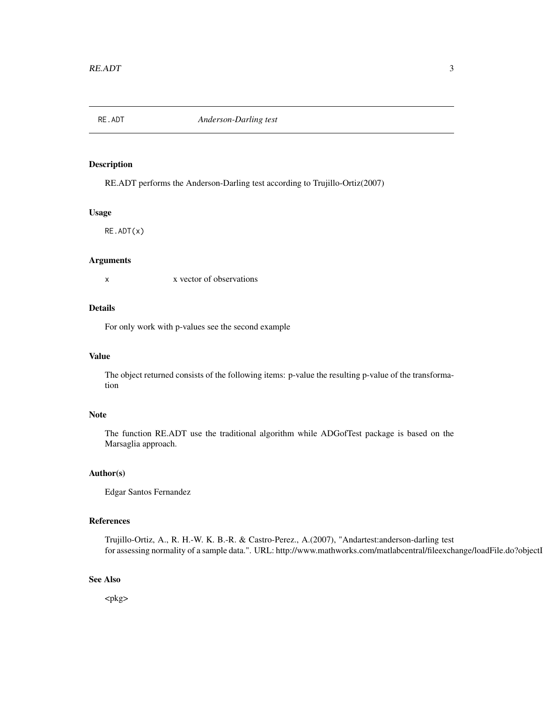<span id="page-2-0"></span>

#### Description

RE.ADT performs the Anderson-Darling test according to Trujillo-Ortiz(2007)

#### Usage

RE.ADT(x)

#### Arguments

x x vector of observations

#### Details

For only work with p-values see the second example

#### Value

The object returned consists of the following items: p-value the resulting p-value of the transformation

#### Note

The function RE.ADT use the traditional algorithm while ADGofTest package is based on the Marsaglia approach.

#### Author(s)

Edgar Santos Fernandez

#### References

Trujillo-Ortiz, A., R. H.-W. K. B.-R. & Castro-Perez., A.(2007), "Andartest:anderson-darling test for assessing normality of a sample data.". URL: http://www.mathworks.com/matlabcentral/fileexchange/loadFile.do?objectl

#### See Also

<pkg>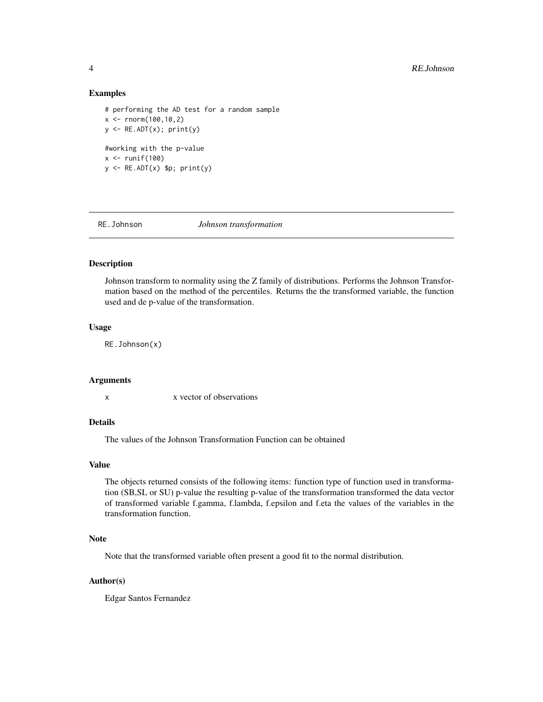#### Examples

```
# performing the AD test for a random sample
x \le - rnorm(100,10,2)
y \leftarrow RE.ADT(x); print(y)#working with the p-value
x \leftarrow runif(100)y \leq -RE.ADT(x) $p; print(y)
```
RE.Johnson *Johnson transformation*

#### Description

Johnson transform to normality using the Z family of distributions. Performs the Johnson Transformation based on the method of the percentiles. Returns the the transformed variable, the function used and de p-value of the transformation.

#### Usage

RE.Johnson(x)

#### Arguments

x x vector of observations

#### Details

The values of the Johnson Transformation Function can be obtained

#### Value

The objects returned consists of the following items: function type of function used in transformation (SB,SL or SU) p-value the resulting p-value of the transformation transformed the data vector of transformed variable f.gamma, f.lambda, f.epsilon and f.eta the values of the variables in the transformation function.

#### Note

Note that the transformed variable often present a good fit to the normal distribution.

#### Author(s)

Edgar Santos Fernandez

<span id="page-3-0"></span>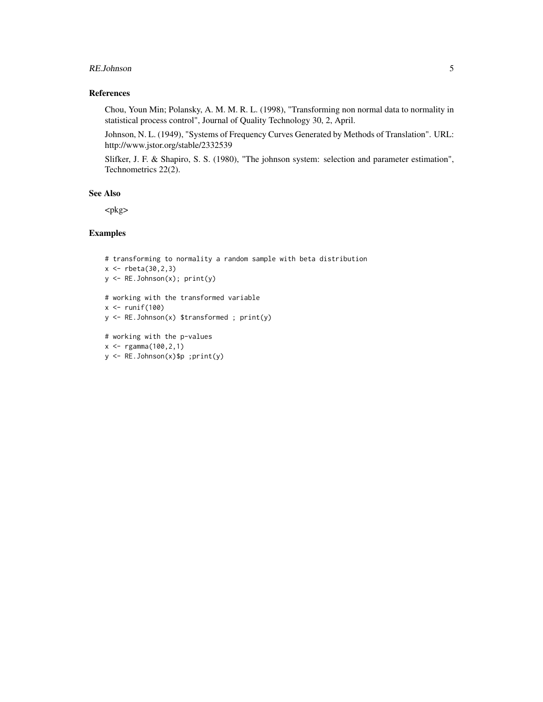#### RE.Johnson 5

#### References

Chou, Youn Min; Polansky, A. M. M. R. L. (1998), "Transforming non normal data to normality in statistical process control", Journal of Quality Technology 30, 2, April.

Johnson, N. L. (1949), "Systems of Frequency Curves Generated by Methods of Translation". URL: http://www.jstor.org/stable/2332539

Slifker, J. F. & Shapiro, S. S. (1980), "The johnson system: selection and parameter estimation", Technometrics 22(2).

#### See Also

<pkg>

#### Examples

```
# transforming to normality a random sample with beta distribution
x < - rbeta(30,2,3)
y <- RE.Johnson(x); print(y)
# working with the transformed variable
x <- runif(100)
y <- RE.Johnson(x) $transformed ; print(y)
# working with the p-values
x \leq - \text{rgamma}(100, 2, 1)y <- RE.Johnson(x)$p ;print(y)
```